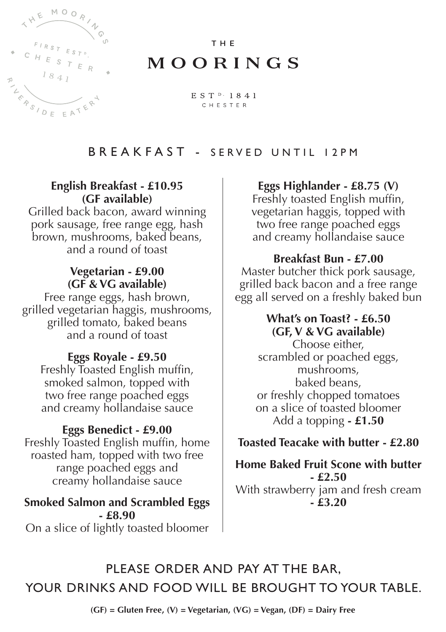

# THE MOORINGS

EST<sup>D</sup>·1841 CHESTER

# BREAKFAST - SERVED UNTIL 12PM

#### **English Breakfast - £10.95 (GF available)**

Grilled back bacon, award winning pork sausage, free range egg, hash brown, mushrooms, baked beans, and a round of toast

#### **Vegetarian - £9.00 (GF & VG available)**

Free range eggs, hash brown, grilled vegetarian haggis, mushrooms, grilled tomato, baked beans and a round of toast

## **Eggs Royale - £9.50**

Freshly Toasted English muffin, smoked salmon, topped with two free range poached eggs and creamy hollandaise sauce

## **Eggs Benedict - £9.00**

Freshly Toasted English muffin, home roasted ham, topped with two free range poached eggs and creamy hollandaise sauce

**Smoked Salmon and Scrambled Eggs - £8.90** On a slice of lightly toasted bloomer

#### **Eggs Highlander - £8.75 (V)**

Freshly toasted English muffin, vegetarian haggis, topped with two free range poached eggs and creamy hollandaise sauce

#### **Breakfast Bun - £7.00**

Master butcher thick pork sausage, grilled back bacon and a free range egg all served on a freshly baked bun

#### **What's on Toast? - £6.50 (GF, V & VG available)**

Choose either, scrambled or poached eggs, mushrooms, baked beans, or freshly chopped tomatoes on a slice of toasted bloomer Add a topping **- £1.50**

## **Toasted Teacake with butter - £2.80**

**Home Baked Fruit Scone with butter - £2.50** With strawberry jam and fresh cream **- £3.20**

PLEASE ORDER AND PAY AT THE BAR, YOUR DRINKS AND FOOD WILL BE BROUGHT TO YOUR TABLE.

**(GF) = Gluten Free, (V) = Vegetarian, (VG) = Vegan, (DF) = Dairy Free**